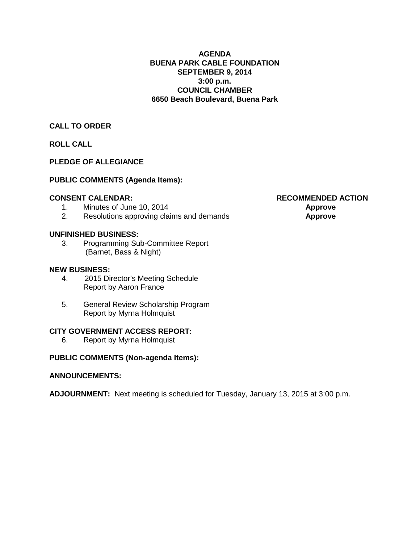# **AGENDA BUENA PARK CABLE FOUNDATION SEPTEMBER 9, 2014 3:00 p.m. COUNCIL CHAMBER 6650 Beach Boulevard, Buena Park**

# **CALL TO ORDER**

**ROLL CALL**

# **PLEDGE OF ALLEGIANCE**

# **PUBLIC COMMENTS (Agenda Items):**

- 
- 1. Minutes of June 10, 2014<br>2. **Resolutions approving claims and demands Approve**<br>**Approve** 2. Resolutions approving claims and demands **Approve**

# **UNFINISHED BUSINESS:**

3. Programming Sub-Committee Report (Barnet, Bass & Night)

# **NEW BUSINESS:**

- 4. 2015 Director's Meeting Schedule Report by Aaron France
- 5. General Review Scholarship Program Report by Myrna Holmquist

# **CITY GOVERNMENT ACCESS REPORT:**

6. Report by Myrna Holmquist

# **PUBLIC COMMENTS (Non-agenda Items):**

# **ANNOUNCEMENTS:**

**ADJOURNMENT:** Next meeting is scheduled for Tuesday, January 13, 2015 at 3:00 p.m.

**CONSENT CALENDAR: RECOMMENDED ACTION**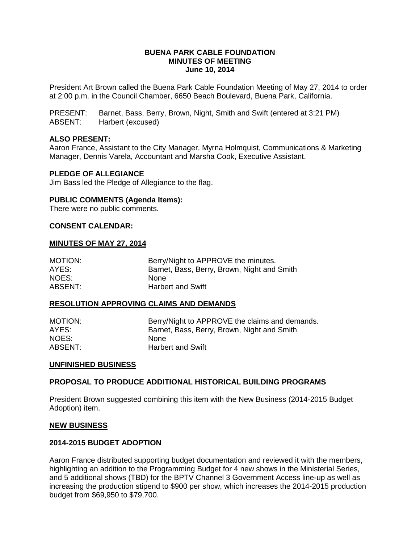# **BUENA PARK CABLE FOUNDATION MINUTES OF MEETING June 10, 2014**

President Art Brown called the Buena Park Cable Foundation Meeting of May 27, 2014 to order at 2:00 p.m. in the Council Chamber, 6650 Beach Boulevard, Buena Park, California.

PRESENT: Barnet, Bass, Berry, Brown, Night, Smith and Swift (entered at 3:21 PM) ABSENT: Harbert (excused)

# **ALSO PRESENT:**

Aaron France, Assistant to the City Manager, Myrna Holmquist, Communications & Marketing Manager, Dennis Varela, Accountant and Marsha Cook, Executive Assistant.

# **PLEDGE OF ALLEGIANCE**

Jim Bass led the Pledge of Allegiance to the flag.

# **PUBLIC COMMENTS (Agenda Items):**

There were no public comments.

# **CONSENT CALENDAR:**

# **MINUTES OF MAY 27, 2014**

| <b>MOTION:</b> | Berry/Night to APPROVE the minutes.         |
|----------------|---------------------------------------------|
| AYES:          | Barnet, Bass, Berry, Brown, Night and Smith |
| NOES:          | <b>None</b>                                 |
| ABSENT:        | <b>Harbert and Swift</b>                    |

# **RESOLUTION APPROVING CLAIMS AND DEMANDS**

| MOTION: | Berry/Night to APPROVE the claims and demands. |
|---------|------------------------------------------------|
| AYES:   | Barnet, Bass, Berry, Brown, Night and Smith    |
| NOES:   | None.                                          |
| ABSENT: | <b>Harbert and Swift</b>                       |

# **UNFINISHED BUSINESS**

# **PROPOSAL TO PRODUCE ADDITIONAL HISTORICAL BUILDING PROGRAMS**

President Brown suggested combining this item with the New Business (2014-2015 Budget Adoption) item.

### **NEW BUSINESS**

# **2014-2015 BUDGET ADOPTION**

Aaron France distributed supporting budget documentation and reviewed it with the members, highlighting an addition to the Programming Budget for 4 new shows in the Ministerial Series, and 5 additional shows (TBD) for the BPTV Channel 3 Government Access line-up as well as increasing the production stipend to \$900 per show, which increases the 2014-2015 production budget from \$69,950 to \$79,700.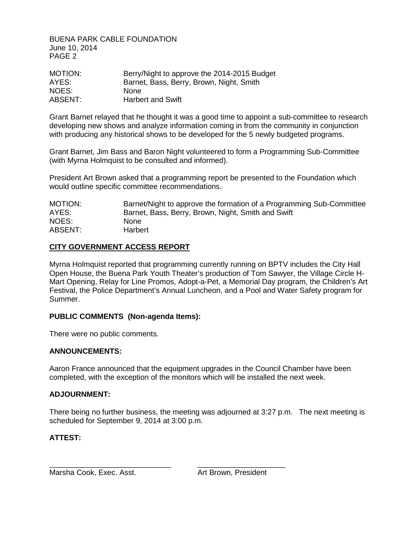BUENA PARK CABLE FOUNDATION June 10, 2014 PAGE 2

| MOTION: | Berry/Night to approve the 2014-2015 Budget |
|---------|---------------------------------------------|
| AYES:   | Barnet, Bass, Berry, Brown, Night, Smith    |
| NOES:   | <b>None</b>                                 |
| ABSENT: | <b>Harbert and Swift</b>                    |

Grant Barnet relayed that he thought it was a good time to appoint a sub-committee to research developing new shows and analyze information coming in from the community in conjunction with producing any historical shows to be developed for the 5 newly budgeted programs.

Grant Barnet, Jim Bass and Baron Night volunteered to form a Programming Sub-Committee (with Myrna Holmquist to be consulted and informed).

President Art Brown asked that a programming report be presented to the Foundation which would outline specific committee recommendations.

MOTION: Barnet/Night to approve the formation of a Programming Sub-Committee AYES: Barnet, Bass, Berry, Brown, Night, Smith and Swift NOES: None ABSENT: Harbert

# **CITY GOVERNMENT ACCESS REPORT**

Myrna Holmquist reported that programming currently running on BPTV includes the City Hall Open House, the Buena Park Youth Theater's production of Tom Sawyer, the Village Circle H-Mart Opening, Relay for Line Promos, Adopt-a-Pet, a Memorial Day program, the Children's Art Festival, the Police Department's Annual Luncheon, and a Pool and Water Safety program for Summer.

# **PUBLIC COMMENTS (Non-agenda Items):**

There were no public comments.

# **ANNOUNCEMENTS:**

Aaron France announced that the equipment upgrades in the Council Chamber have been completed, with the exception of the monitors which will be installed the next week.

# **ADJOURNMENT:**

There being no further business, the meeting was adjourned at 3:27 p.m. The next meeting is scheduled for September 9, 2014 at 3:00 p.m.

\_\_\_\_\_\_\_\_\_\_\_\_\_\_\_\_\_\_\_\_\_\_\_\_\_\_\_\_\_ \_\_\_\_\_\_\_\_\_\_\_\_\_\_\_\_\_\_\_\_\_

# **ATTEST:**

Marsha Cook, Exec. Asst. Art Brown, President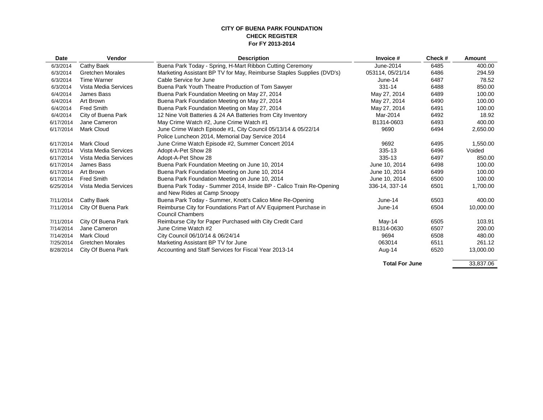#### **CITY OF BUENA PARK FOUNDATION CHECK REGISTER For FY 2013-2014**

| <b>Date</b> | Vendor                  | <b>Description</b>                                                    | Invoice #             | Check# | Amount    |
|-------------|-------------------------|-----------------------------------------------------------------------|-----------------------|--------|-----------|
| 6/3/2014    | Cathy Baek              | Buena Park Today - Spring, H-Mart Ribbon Cutting Ceremony             | June-2014             | 6485   | 400.00    |
| 6/3/2014    | <b>Gretchen Morales</b> | Marketing Assistant BP TV for May, Reimburse Staples Supplies (DVD's) | 053114, 05/21/14      | 6486   | 294.59    |
| 6/3/2014    | <b>Time Warner</b>      | Cable Service for June                                                | June-14               | 6487   | 78.52     |
| 6/3/2014    | Vista Media Services    | Buena Park Youth Theatre Production of Tom Sawyer                     | 331-14                | 6488   | 850.00    |
| 6/4/2014    | James Bass              | Buena Park Foundation Meeting on May 27, 2014                         | May 27, 2014          | 6489   | 100.00    |
| 6/4/2014    | Art Brown               | Buena Park Foundation Meeting on May 27, 2014                         | May 27, 2014          | 6490   | 100.00    |
| 6/4/2014    | Fred Smith              | Buena Park Foundation Meeting on May 27, 2014                         | May 27, 2014          | 6491   | 100.00    |
| 6/4/2014    | City of Buena Park      | 12 Nine Volt Batteries & 24 AA Batteries from City Inventory          | Mar-2014              | 6492   | 18.92     |
| 6/17/2014   | Jane Cameron            | May Crime Watch #2, June Crime Watch #1                               | B1314-0603            | 6493   | 400.00    |
| 6/17/2014   | <b>Mark Cloud</b>       | June Crime Watch Episode #1, City Council 05/13/14 & 05/22/14         | 9690                  | 6494   | 2,650.00  |
|             |                         | Police Luncheon 2014, Memorial Day Service 2014                       |                       |        |           |
| 6/17/2014   | <b>Mark Cloud</b>       | June Crime Watch Episode #2, Summer Concert 2014                      | 9692                  | 6495   | 1,550.00  |
| 6/17/2014   | Vista Media Services    | Adopt-A-Pet Show 28                                                   | 335-13                | 6496   | Voided    |
| 6/17/2014   | Vista Media Services    | Adopt-A-Pet Show 28                                                   | 335-13                | 6497   | 850.00    |
| 6/17/2014   | James Bass              | Buena Park Foundation Meeting on June 10, 2014                        | June 10, 2014         | 6498   | 100.00    |
| 6/17/2014   | Art Brown               | Buena Park Foundation Meeting on June 10, 2014                        | June 10, 2014         | 6499   | 100.00    |
| 6/17/2014   | <b>Fred Smith</b>       | Buena Park Foundation Meeting on June 10, 2014                        | June 10, 2014         | 6500   | 100.00    |
| 6/25/2014   | Vista Media Services    | Buena Park Today - Summer 2014, Inside BP - Calico Train Re-Opening   | 336-14, 337-14        | 6501   | 1,700.00  |
|             |                         | and New Rides at Camp Snoopy                                          |                       |        |           |
| 7/11/2014   | Cathy Baek              | Buena Park Today - Summer, Knott's Calico Mine Re-Opening             | June-14               | 6503   | 400.00    |
| 7/11/2014   | City Of Buena Park      | Reimburse City for Foundations Part of A/V Equipment Purchase in      | June-14               | 6504   | 10,000.00 |
|             |                         | <b>Council Chambers</b>                                               |                       |        |           |
| 7/11/2014   | City Of Buena Park      | Reimburse City for Paper Purchased with City Credit Card              | May-14                | 6505   | 103.91    |
| 7/14/2014   | Jane Cameron            | June Crime Watch #2                                                   | B1314-0630            | 6507   | 200.00    |
| 7/14/2014   | <b>Mark Cloud</b>       | City Council 06/10/14 & 06/24/14                                      | 9694                  | 6508   | 480.00    |
| 7/25/2014   | <b>Gretchen Morales</b> | Marketing Assistant BP TV for June                                    | 063014                | 6511   | 261.12    |
| 8/28/2014   | City Of Buena Park      | Accounting and Staff Services for Fiscal Year 2013-14                 | Aug-14                | 6520   | 13,000.00 |
|             |                         |                                                                       |                       |        |           |
|             |                         |                                                                       | <b>Total For June</b> |        | 33,837.06 |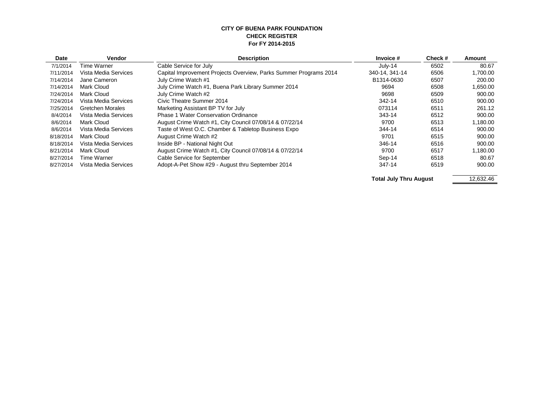#### **CITY OF BUENA PARK FOUNDATION CHECK REGISTER For FY 2014-2015**

| <b>Date</b> | Vendor               | <b>Description</b>                                                | Invoice #               | Check# | Amount   |
|-------------|----------------------|-------------------------------------------------------------------|-------------------------|--------|----------|
| 7/1/2014    | Time Warner          | Cable Service for July                                            | July-14                 | 6502   | 80.67    |
| 7/11/2014   | Vista Media Services | Capital Improvement Projects Overview, Parks Summer Programs 2014 | 340-14, 341-14          | 6506   | 1,700.00 |
| 7/14/2014   | Jane Cameron         | July Crime Watch #1                                               | B1314-0630              | 6507   | 200.00   |
| 7/14/2014   | Mark Cloud           | July Crime Watch #1, Buena Park Library Summer 2014               | 9694                    | 6508   | 1,650.00 |
| 7/24/2014   | Mark Cloud           | July Crime Watch #2                                               | 9698                    | 6509   | 900.00   |
| 7/24/2014   | Vista Media Services | Civic Theatre Summer 2014                                         | 342-14                  | 6510   | 900.00   |
| 7/25/2014   | Gretchen Morales     | Marketing Assistant BP TV for July                                | 073114                  | 6511   | 261.12   |
| 8/4/2014    | Vista Media Services | <b>Phase 1 Water Conservation Ordinance</b>                       | 343-14                  | 6512   | 900.00   |
| 8/6/2014    | Mark Cloud           | August Crime Watch #1, City Council 07/08/14 & 07/22/14           | 9700                    | 6513   | 1,180.00 |
| 8/6/2014    | Vista Media Services | Taste of West O.C. Chamber & Tabletop Business Expo               | 344-14                  | 6514   | 900.00   |
| 8/18/2014   | Mark Cloud           | August Crime Watch #2                                             | 9701                    | 6515   | 900.00   |
| 8/18/2014   | Vista Media Services | Inside BP - National Night Out                                    | 346-14                  | 6516   | 900.00   |
| 8/21/2014   | Mark Cloud           | August Crime Watch #1, City Council 07/08/14 & 07/22/14           | 9700                    | 6517   | 1,180.00 |
| 8/27/2014   | Time Warner          | Cable Service for September                                       | Sep-14                  | 6518   | 80.67    |
| 8/27/2014   | Vista Media Services | Adopt-A-Pet Show #29 - August thru September 2014                 | 347-14                  | 6519   | 900.00   |
|             |                      |                                                                   | Tatal July Than America |        | 1000010  |

**Total July Thru August** 12,632.46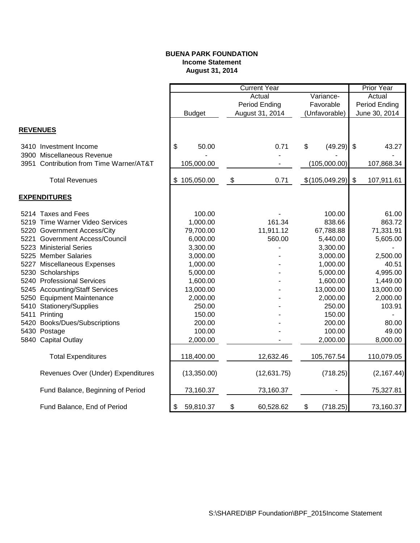# **BUENA PARK FOUNDATION Income Statement August 31, 2014**

|                                          |                                    | <b>Current Year</b> |           |                |                           | Prior Year  |
|------------------------------------------|------------------------------------|---------------------|-----------|----------------|---------------------------|-------------|
|                                          |                                    | Actual              |           | Variance-      |                           | Actual      |
|                                          |                                    | Period Ending       | Favorable |                | Period Ending             |             |
|                                          | <b>Budget</b>                      | August 31, 2014     |           | (Unfavorable)  | June 30, 2014             |             |
|                                          |                                    |                     |           |                |                           |             |
| <b>REVENUES</b>                          |                                    |                     |           |                |                           |             |
| 3410 Investment Income                   | $\boldsymbol{\mathsf{S}}$<br>50.00 | 0.71                | \$        | (49.29)        | $\boldsymbol{\mathsf{S}}$ | 43.27       |
| 3900 Miscellaneous Revenue               |                                    |                     |           |                |                           |             |
| 3951 Contribution from Time Warner/AT&T  | 105,000.00                         |                     |           | (105,000.00)   |                           | 107,868.34  |
| <b>Total Revenues</b>                    |                                    |                     |           |                | $\sqrt[6]{\frac{1}{2}}$   |             |
|                                          | \$105,050.00                       | \$<br>0.71          |           | \$(105,049.29) |                           | 107,911.61  |
| <b>EXPENDITURES</b>                      |                                    |                     |           |                |                           |             |
| 5214 Taxes and Fees                      | 100.00                             |                     |           | 100.00         |                           | 61.00       |
| 5219 Time Warner Video Services          | 1,000.00                           | 161.34              |           | 838.66         |                           | 863.72      |
| 5220 Government Access/City              | 79,700.00                          | 11,911.12           |           | 67,788.88      |                           | 71,331.91   |
| <b>Government Access/Council</b><br>5221 | 6,000.00                           | 560.00              |           | 5,440.00       |                           | 5,605.00    |
| 5223 Ministerial Series                  | 3,300.00                           |                     |           | 3,300.00       |                           |             |
| 5225 Member Salaries                     | 3,000.00                           |                     |           | 3,000.00       |                           | 2,500.00    |
| 5227 Miscellaneous Expenses              | 1,000.00                           |                     |           | 1,000.00       |                           | 40.51       |
| 5230 Scholarships                        | 5,000.00                           |                     |           | 5,000.00       |                           | 4,995.00    |
| 5240 Professional Services               | 1,600.00                           |                     |           | 1,600.00       |                           | 1,449.00    |
| 5245 Accounting/Staff Services           | 13,000.00                          |                     |           | 13,000.00      |                           | 13,000.00   |
| 5250 Equipment Maintenance               | 2,000.00                           |                     |           | 2,000.00       |                           | 2,000.00    |
| 5410 Stationery/Supplies                 | 250.00                             |                     |           | 250.00         |                           | 103.91      |
| 5411 Printing                            | 150.00                             |                     |           | 150.00         |                           |             |
| 5420 Books/Dues/Subscriptions            | 200.00                             |                     |           | 200.00         |                           | 80.00       |
| 5430 Postage                             | 100.00                             |                     |           | 100.00         |                           | 49.00       |
| 5840 Capital Outlay                      | 2,000.00                           |                     |           | 2,000.00       |                           | 8,000.00    |
| <b>Total Expenditures</b>                | 118,400.00                         | 12,632.46           |           | 105,767.54     |                           | 110,079.05  |
| Revenues Over (Under) Expenditures       | (13,350.00)                        | (12, 631.75)        |           | (718.25)       |                           | (2, 167.44) |
| Fund Balance, Beginning of Period        | 73,160.37                          | 73,160.37           |           |                |                           | 75,327.81   |
| Fund Balance, End of Period              | 59,810.37<br>\$                    | \$<br>60,528.62     | \$        | (718.25)       |                           | 73,160.37   |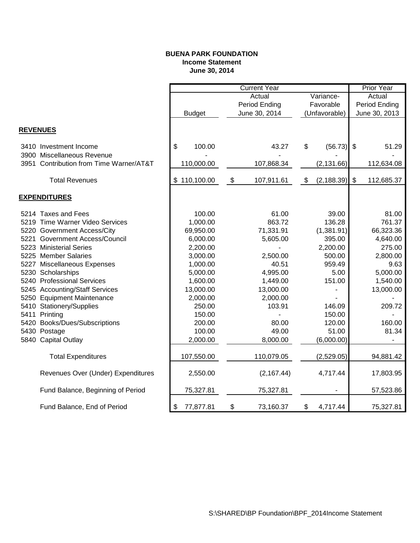# **BUENA PARK FOUNDATION Income Statement June 30, 2014**

|                                 |                                         | <b>Current Year</b> |            |    |               |    |               | <b>Prior Year</b> |            |
|---------------------------------|-----------------------------------------|---------------------|------------|----|---------------|----|---------------|-------------------|------------|
|                                 |                                         | Actual<br>Variance- |            |    |               |    | Actual        |                   |            |
|                                 |                                         |                     |            |    | Period Ending |    | Favorable     | Period Ending     |            |
|                                 |                                         | <b>Budget</b>       |            |    | June 30, 2014 |    | (Unfavorable) | June 30, 2013     |            |
|                                 |                                         |                     |            |    |               |    |               |                   |            |
| <b>REVENUES</b>                 |                                         |                     |            |    |               |    |               |                   |            |
| 3410 Investment Income          |                                         | \$                  | 100.00     |    | 43.27         | \$ | (56.73)       | \$                | 51.29      |
| 3900 Miscellaneous Revenue      |                                         |                     |            |    |               |    |               |                   |            |
|                                 | 3951 Contribution from Time Warner/AT&T |                     | 110,000.00 |    | 107,868.34    |    | (2, 131.66)   |                   | 112,634.08 |
| <b>Total Revenues</b>           |                                         | \$110,100.00        |            | \$ | 107,911.61    | \$ | (2, 188.39)   | \$                | 112,685.37 |
|                                 |                                         |                     |            |    |               |    |               |                   |            |
| <b>EXPENDITURES</b>             |                                         |                     |            |    |               |    |               |                   |            |
| 5214 Taxes and Fees             |                                         |                     | 100.00     |    | 61.00         |    | 39.00         |                   | 81.00      |
| 5219 Time Warner Video Services |                                         |                     | 1,000.00   |    | 863.72        |    | 136.28        |                   | 761.37     |
| 5220 Government Access/City     |                                         |                     | 69,950.00  |    | 71,331.91     |    | (1,381.91)    |                   | 66,323.36  |
| 5221 Government Access/Council  |                                         |                     | 6,000.00   |    | 5,605.00      |    | 395.00        |                   | 4,640.00   |
| 5223 Ministerial Series         |                                         |                     | 2,200.00   |    |               |    | 2,200.00      |                   | 275.00     |
| 5225 Member Salaries            |                                         |                     | 3,000.00   |    | 2,500.00      |    | 500.00        |                   | 2,800.00   |
| 5227 Miscellaneous Expenses     |                                         |                     | 1,000.00   |    | 40.51         |    | 959.49        |                   | 9.63       |
| 5230 Scholarships               |                                         |                     | 5,000.00   |    | 4,995.00      |    | 5.00          |                   | 5,000.00   |
| 5240 Professional Services      |                                         |                     | 1,600.00   |    | 1,449.00      |    | 151.00        |                   | 1,540.00   |
| 5245 Accounting/Staff Services  |                                         |                     | 13,000.00  |    | 13,000.00     |    |               |                   | 13,000.00  |
| 5250 Equipment Maintenance      |                                         |                     | 2,000.00   |    | 2,000.00      |    |               |                   |            |
| 5410 Stationery/Supplies        |                                         |                     | 250.00     |    | 103.91        |    | 146.09        |                   | 209.72     |
| 5411 Printing                   |                                         |                     | 150.00     |    |               |    | 150.00        |                   |            |
| 5420 Books/Dues/Subscriptions   |                                         |                     | 200.00     |    | 80.00         |    | 120.00        |                   | 160.00     |
| 5430 Postage                    |                                         |                     | 100.00     |    | 49.00         |    | 51.00         |                   | 81.34      |
| 5840 Capital Outlay             |                                         |                     | 2,000.00   |    | 8,000.00      |    | (6,000.00)    |                   |            |
| <b>Total Expenditures</b>       |                                         |                     | 107,550.00 |    | 110,079.05    |    | (2,529.05)    |                   | 94,881.42  |
|                                 | Revenues Over (Under) Expenditures      |                     | 2,550.00   |    | (2, 167.44)   |    | 4,717.44      |                   | 17,803.95  |
|                                 | Fund Balance, Beginning of Period       |                     | 75,327.81  |    | 75,327.81     |    |               |                   | 57,523.86  |
| Fund Balance, End of Period     |                                         | \$                  | 77,877.81  | \$ | 73,160.37     | \$ | 4,717.44      |                   | 75,327.81  |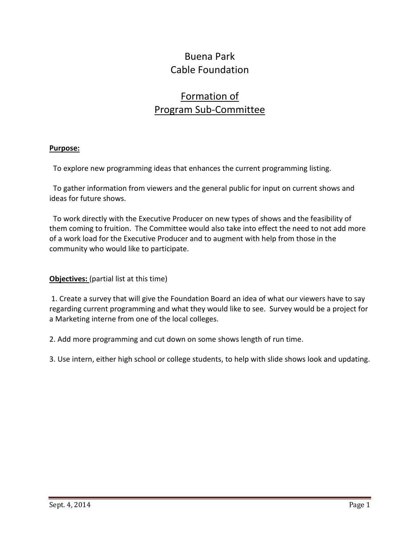# Buena Park Cable Foundation

# Formation of Program Sub-Committee

# **Purpose:**

To explore new programming ideas that enhances the current programming listing.

 To gather information from viewers and the general public for input on current shows and ideas for future shows.

 To work directly with the Executive Producer on new types of shows and the feasibility of them coming to fruition. The Committee would also take into effect the need to not add more of a work load for the Executive Producer and to augment with help from those in the community who would like to participate.

# **Objectives:** (partial list at this time)

1. Create a survey that will give the Foundation Board an idea of what our viewers have to say regarding current programming and what they would like to see. Survey would be a project for a Marketing interne from one of the local colleges.

2. Add more programming and cut down on some shows length of run time.

3. Use intern, either high school or college students, to help with slide shows look and updating.